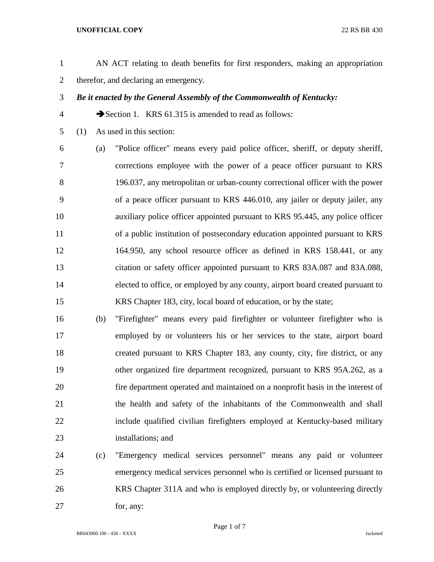## **UNOFFICIAL COPY** 22 RS BR 430

- AN ACT relating to death benefits for first responders, making an appropriation therefor, and declaring an emergency.
- *Be it enacted by the General Assembly of the Commonwealth of Kentucky:*
- 4 Section 1. KRS 61.315 is amended to read as follows:
- (1) As used in this section:

 (a) "Police officer" means every paid police officer, sheriff, or deputy sheriff, corrections employee with the power of a peace officer pursuant to KRS 196.037, any metropolitan or urban-county correctional officer with the power of a peace officer pursuant to KRS 446.010, any jailer or deputy jailer, any auxiliary police officer appointed pursuant to KRS 95.445, any police officer of a public institution of postsecondary education appointed pursuant to KRS 164.950, any school resource officer as defined in KRS 158.441, or any citation or safety officer appointed pursuant to KRS 83A.087 and 83A.088, elected to office, or employed by any county, airport board created pursuant to KRS Chapter 183, city, local board of education, or by the state;

- (b) "Firefighter" means every paid firefighter or volunteer firefighter who is employed by or volunteers his or her services to the state, airport board created pursuant to KRS Chapter 183, any county, city, fire district, or any other organized fire department recognized, pursuant to KRS 95A.262, as a fire department operated and maintained on a nonprofit basis in the interest of the health and safety of the inhabitants of the Commonwealth and shall include qualified civilian firefighters employed at Kentucky-based military installations; and
- (c) "Emergency medical services personnel" means any paid or volunteer emergency medical services personnel who is certified or licensed pursuant to KRS Chapter 311A and who is employed directly by, or volunteering directly 27 for, any: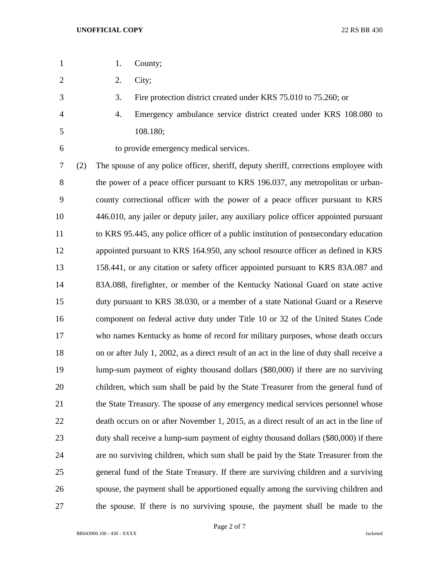- 1. County;
- 2. City;
- 3. Fire protection district created under KRS 75.010 to 75.260; or
- 4. Emergency ambulance service district created under KRS 108.080 to 108.180;
- 

to provide emergency medical services.

 (2) The spouse of any police officer, sheriff, deputy sheriff, corrections employee with 8 the power of a peace officer pursuant to KRS 196.037, any metropolitan or urban- county correctional officer with the power of a peace officer pursuant to KRS 446.010, any jailer or deputy jailer, any auxiliary police officer appointed pursuant to KRS 95.445, any police officer of a public institution of postsecondary education appointed pursuant to KRS 164.950, any school resource officer as defined in KRS 158.441, or any citation or safety officer appointed pursuant to KRS 83A.087 and 83A.088, firefighter, or member of the Kentucky National Guard on state active duty pursuant to KRS 38.030, or a member of a state National Guard or a Reserve component on federal active duty under Title 10 or 32 of the United States Code who names Kentucky as home of record for military purposes, whose death occurs on or after July 1, 2002, as a direct result of an act in the line of duty shall receive a lump-sum payment of eighty thousand dollars (\$80,000) if there are no surviving children, which sum shall be paid by the State Treasurer from the general fund of the State Treasury. The spouse of any emergency medical services personnel whose death occurs on or after November 1, 2015, as a direct result of an act in the line of duty shall receive a lump-sum payment of eighty thousand dollars (\$80,000) if there are no surviving children, which sum shall be paid by the State Treasurer from the general fund of the State Treasury. If there are surviving children and a surviving spouse, the payment shall be apportioned equally among the surviving children and the spouse. If there is no surviving spouse, the payment shall be made to the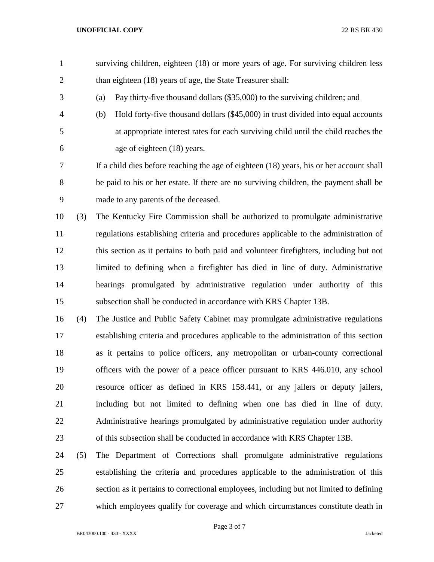- surviving children, eighteen (18) or more years of age. For surviving children less 2 than eighteen (18) years of age, the State Treasurer shall:
- (a) Pay thirty-five thousand dollars (\$35,000) to the surviving children; and
- (b) Hold forty-five thousand dollars (\$45,000) in trust divided into equal accounts at appropriate interest rates for each surviving child until the child reaches the age of eighteen (18) years.

 If a child dies before reaching the age of eighteen (18) years, his or her account shall be paid to his or her estate. If there are no surviving children, the payment shall be made to any parents of the deceased.

 (3) The Kentucky Fire Commission shall be authorized to promulgate administrative regulations establishing criteria and procedures applicable to the administration of this section as it pertains to both paid and volunteer firefighters, including but not limited to defining when a firefighter has died in line of duty. Administrative hearings promulgated by administrative regulation under authority of this subsection shall be conducted in accordance with KRS Chapter 13B.

 (4) The Justice and Public Safety Cabinet may promulgate administrative regulations establishing criteria and procedures applicable to the administration of this section as it pertains to police officers, any metropolitan or urban-county correctional officers with the power of a peace officer pursuant to KRS 446.010, any school resource officer as defined in KRS 158.441, or any jailers or deputy jailers, including but not limited to defining when one has died in line of duty. Administrative hearings promulgated by administrative regulation under authority of this subsection shall be conducted in accordance with KRS Chapter 13B.

 (5) The Department of Corrections shall promulgate administrative regulations establishing the criteria and procedures applicable to the administration of this section as it pertains to correctional employees, including but not limited to defining which employees qualify for coverage and which circumstances constitute death in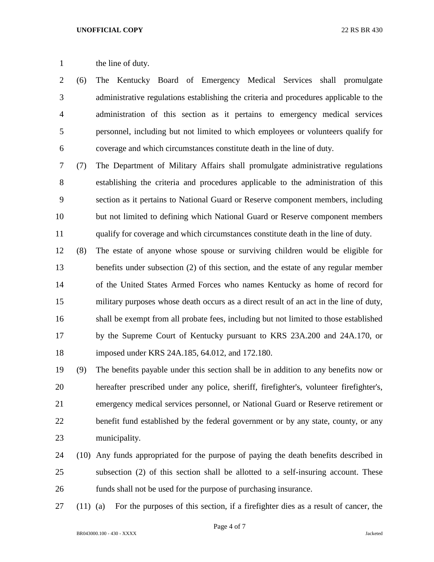## 1 the line of duty.

 (6) The Kentucky Board of Emergency Medical Services shall promulgate administrative regulations establishing the criteria and procedures applicable to the administration of this section as it pertains to emergency medical services personnel, including but not limited to which employees or volunteers qualify for coverage and which circumstances constitute death in the line of duty.

 (7) The Department of Military Affairs shall promulgate administrative regulations establishing the criteria and procedures applicable to the administration of this section as it pertains to National Guard or Reserve component members, including but not limited to defining which National Guard or Reserve component members qualify for coverage and which circumstances constitute death in the line of duty.

 (8) The estate of anyone whose spouse or surviving children would be eligible for benefits under subsection (2) of this section, and the estate of any regular member of the United States Armed Forces who names Kentucky as home of record for military purposes whose death occurs as a direct result of an act in the line of duty, shall be exempt from all probate fees, including but not limited to those established by the Supreme Court of Kentucky pursuant to KRS 23A.200 and 24A.170, or imposed under KRS 24A.185, 64.012, and 172.180.

 (9) The benefits payable under this section shall be in addition to any benefits now or hereafter prescribed under any police, sheriff, firefighter's, volunteer firefighter's, emergency medical services personnel, or National Guard or Reserve retirement or benefit fund established by the federal government or by any state, county, or any municipality.

- (10) Any funds appropriated for the purpose of paying the death benefits described in subsection (2) of this section shall be allotted to a self-insuring account. These funds shall not be used for the purpose of purchasing insurance.
- (11) (a) For the purposes of this section, if a firefighter dies as a result of cancer, the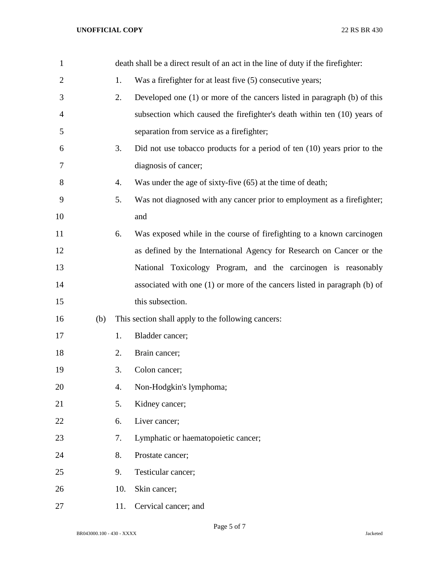## **UNOFFICIAL COPY** 22 RS BR 430

| $\mathbf{1}$ |     |     | death shall be a direct result of an act in the line of duty if the firefighter: |
|--------------|-----|-----|----------------------------------------------------------------------------------|
| 2            |     | 1.  | Was a firefighter for at least five (5) consecutive years;                       |
| 3            |     | 2.  | Developed one (1) or more of the cancers listed in paragraph (b) of this         |
| 4            |     |     | subsection which caused the firefighter's death within ten (10) years of         |
| 5            |     |     | separation from service as a firefighter;                                        |
| 6            |     | 3.  | Did not use tobacco products for a period of ten $(10)$ years prior to the       |
| 7            |     |     | diagnosis of cancer;                                                             |
| 8            |     | 4.  | Was under the age of sixty-five (65) at the time of death;                       |
| 9            |     | 5.  | Was not diagnosed with any cancer prior to employment as a firefighter;          |
| 10           |     |     | and                                                                              |
| 11           |     | 6.  | Was exposed while in the course of firefighting to a known carcinogen            |
| 12           |     |     | as defined by the International Agency for Research on Cancer or the             |
| 13           |     |     | National Toxicology Program, and the carcinogen is reasonably                    |
| 14           |     |     | associated with one (1) or more of the cancers listed in paragraph (b) of        |
| 15           |     |     | this subsection.                                                                 |
| 16           | (b) |     | This section shall apply to the following cancers:                               |
| 17           |     | 1.  | Bladder cancer;                                                                  |
| 18           |     | 2.  | Brain cancer;                                                                    |
| 19           |     | 3.  | Colon cancer;                                                                    |
| 20           |     | 4.  | Non-Hodgkin's lymphoma;                                                          |
| 21           |     | 5.  | Kidney cancer;                                                                   |
| 22           |     | 6.  | Liver cancer;                                                                    |
| 23           |     | 7.  | Lymphatic or haematopoietic cancer;                                              |
| 24           |     | 8.  | Prostate cancer;                                                                 |
| 25           |     | 9.  | Testicular cancer;                                                               |
| 26           |     | 10. | Skin cancer;                                                                     |
| 27           |     | 11. | Cervical cancer; and                                                             |

Page 5 of 7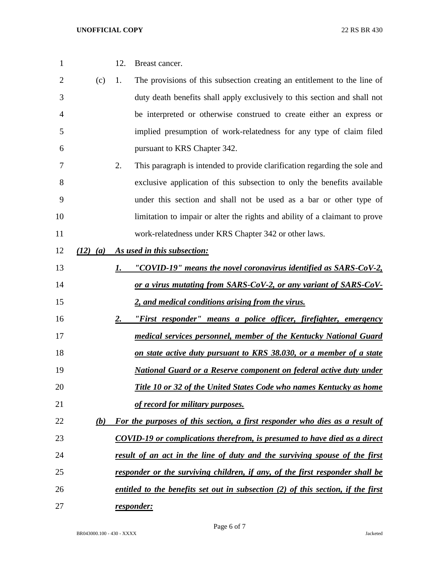| 1              |              | 12. | Breast cancer.                                                                   |
|----------------|--------------|-----|----------------------------------------------------------------------------------|
| $\overline{2}$ | (c)          | 1.  | The provisions of this subsection creating an entitlement to the line of         |
| 3              |              |     | duty death benefits shall apply exclusively to this section and shall not        |
| 4              |              |     | be interpreted or otherwise construed to create either an express or             |
| 5              |              |     | implied presumption of work-relatedness for any type of claim filed              |
| 6              |              |     | pursuant to KRS Chapter 342.                                                     |
| 7              |              | 2.  | This paragraph is intended to provide clarification regarding the sole and       |
| 8              |              |     | exclusive application of this subsection to only the benefits available          |
| 9              |              |     | under this section and shall not be used as a bar or other type of               |
| 10             |              |     | limitation to impair or alter the rights and ability of a claimant to prove      |
| 11             |              |     | work-relatedness under KRS Chapter 342 or other laws.                            |
| 12             | $(12)$ $(a)$ |     | As used in this subsection:                                                      |
| 13             |              | 1.  | "COVID-19" means the novel coronavirus identified as SARS-CoV-2,                 |
| 14             |              |     | or a virus mutating from SARS-CoV-2, or any variant of SARS-CoV-                 |
| 15             |              |     | 2, and medical conditions arising from the virus.                                |
| 16             |              | 2.  | "First responder" means a police officer, firefighter, emergency                 |
| 17             |              |     | medical services personnel, member of the Kentucky National Guard                |
| 18             |              |     | on state active duty pursuant to KRS 38.030, or a member of a state              |
| 19             |              |     | <b>National Guard or a Reserve component on federal active duty under</b>        |
| 20             |              |     | Title 10 or 32 of the United States Code who names Kentucky as home              |
| 21             |              |     | of record for military purposes.                                                 |
| 22             | (b)          |     | For the purposes of this section, a first responder who dies as a result of      |
| 23             |              |     | <b>COVID-19 or complications therefrom, is presumed to have died as a direct</b> |
| 24             |              |     | result of an act in the line of duty and the surviving spouse of the first       |
| 25             |              |     | responder or the surviving children, if any, of the first responder shall be     |
| 26             |              |     | entitled to the benefits set out in subsection (2) of this section, if the first |
| 27             |              |     | responder:                                                                       |